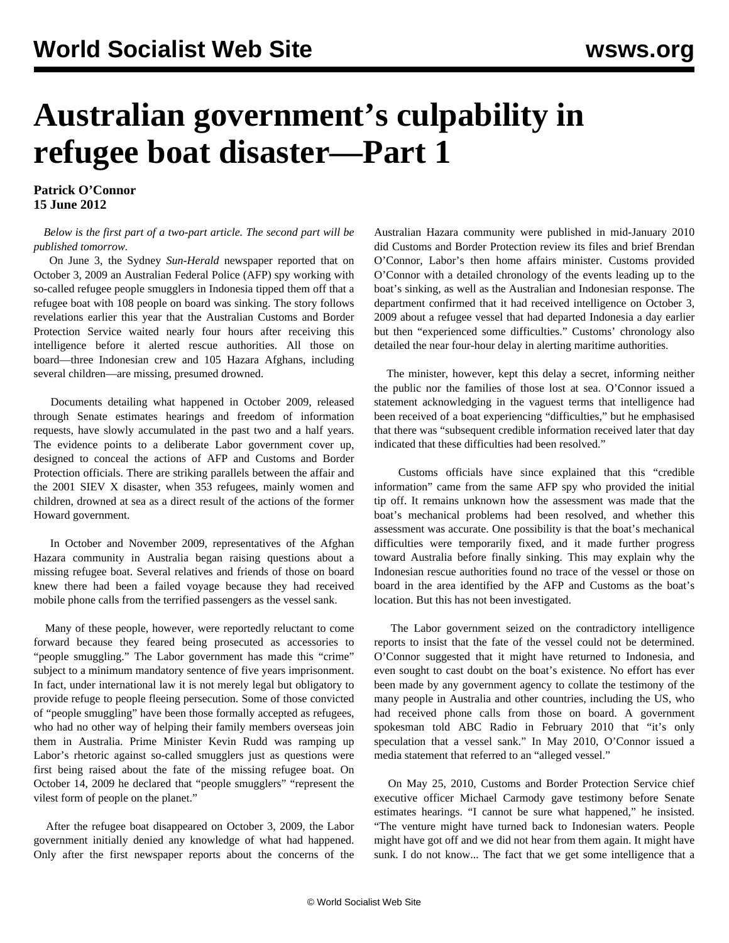## **Australian government's culpability in refugee boat disaster—Part 1**

**Patrick O'Connor 15 June 2012**

## *Below is the first part of a two-part article. The second part will be published tomorrow.*

 On June 3, the Sydney *Sun-Herald* newspaper reported that on October 3, 2009 an Australian Federal Police (AFP) spy working with so-called refugee people smugglers in Indonesia tipped them off that a refugee boat with 108 people on board was sinking. The story follows revelations earlier this year that the Australian Customs and Border Protection Service waited nearly four hours after receiving this intelligence before it alerted rescue authorities. All those on board—three Indonesian crew and 105 Hazara Afghans, including several children—are missing, presumed drowned.

 Documents detailing what happened in October 2009, released through Senate estimates hearings and freedom of information requests, have slowly accumulated in the past two and a half years. The evidence points to a deliberate Labor government cover up, designed to conceal the actions of AFP and Customs and Border Protection officials. There are striking parallels between the affair and the 2001 SIEV X disaster, when 353 refugees, mainly women and children, drowned at sea as a direct result of the actions of the former Howard government.

 In October and November 2009, representatives of the Afghan Hazara community in Australia began raising questions about a missing refugee boat. Several relatives and friends of those on board knew there had been a failed voyage because they had received mobile phone calls from the terrified passengers as the vessel sank.

 Many of these people, however, were reportedly reluctant to come forward because they feared being prosecuted as accessories to "people smuggling." The Labor government has made this "crime" subject to a minimum mandatory sentence of five years imprisonment. In fact, under international law it is not merely legal but obligatory to provide refuge to people fleeing persecution. Some of those convicted of "people smuggling" have been those formally accepted as refugees, who had no other way of helping their family members overseas join them in Australia. Prime Minister Kevin Rudd was ramping up Labor's rhetoric against so-called smugglers just as questions were first being raised about the fate of the missing refugee boat. On October 14, 2009 he declared that "people smugglers" "represent the vilest form of people on the planet."

 After the refugee boat disappeared on October 3, 2009, the Labor government initially denied any knowledge of what had happened. Only after the first newspaper reports about the concerns of the Australian Hazara community were published in mid-January 2010 did Customs and Border Protection review its files and brief Brendan O'Connor, Labor's then home affairs minister. Customs provided O'Connor with a detailed chronology of the events leading up to the boat's sinking, as well as the Australian and Indonesian response. The department confirmed that it had received intelligence on October 3, 2009 about a refugee vessel that had departed Indonesia a day earlier but then "experienced some difficulties." Customs' chronology also detailed the near four-hour delay in alerting maritime authorities.

 The minister, however, kept this delay a secret, informing neither the public nor the families of those lost at sea. O'Connor issued a statement acknowledging in the vaguest terms that intelligence had been received of a boat experiencing "difficulties," but he emphasised that there was "subsequent credible information received later that day indicated that these difficulties had been resolved."

 Customs officials have since explained that this "credible information" came from the same AFP spy who provided the initial tip off. It remains unknown how the assessment was made that the boat's mechanical problems had been resolved, and whether this assessment was accurate. One possibility is that the boat's mechanical difficulties were temporarily fixed, and it made further progress toward Australia before finally sinking. This may explain why the Indonesian rescue authorities found no trace of the vessel or those on board in the area identified by the AFP and Customs as the boat's location. But this has not been investigated.

 The Labor government seized on the contradictory intelligence reports to insist that the fate of the vessel could not be determined. O'Connor suggested that it might have returned to Indonesia, and even sought to cast doubt on the boat's existence. No effort has ever been made by any government agency to collate the testimony of the many people in Australia and other countries, including the US, who had received phone calls from those on board. A government spokesman told ABC Radio in February 2010 that "it's only speculation that a vessel sank." In May 2010, O'Connor issued a media statement that referred to an "alleged vessel."

 On May 25, 2010, Customs and Border Protection Service chief executive officer Michael Carmody gave testimony before Senate estimates hearings. "I cannot be sure what happened," he insisted. "The venture might have turned back to Indonesian waters. People might have got off and we did not hear from them again. It might have sunk. I do not know... The fact that we get some intelligence that a